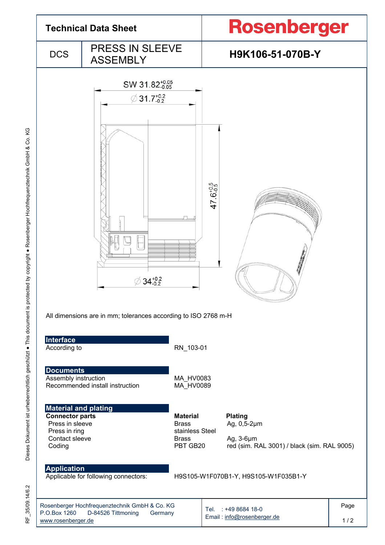

RF\_35/09.14/6.2 35/09.14/6.2 눈